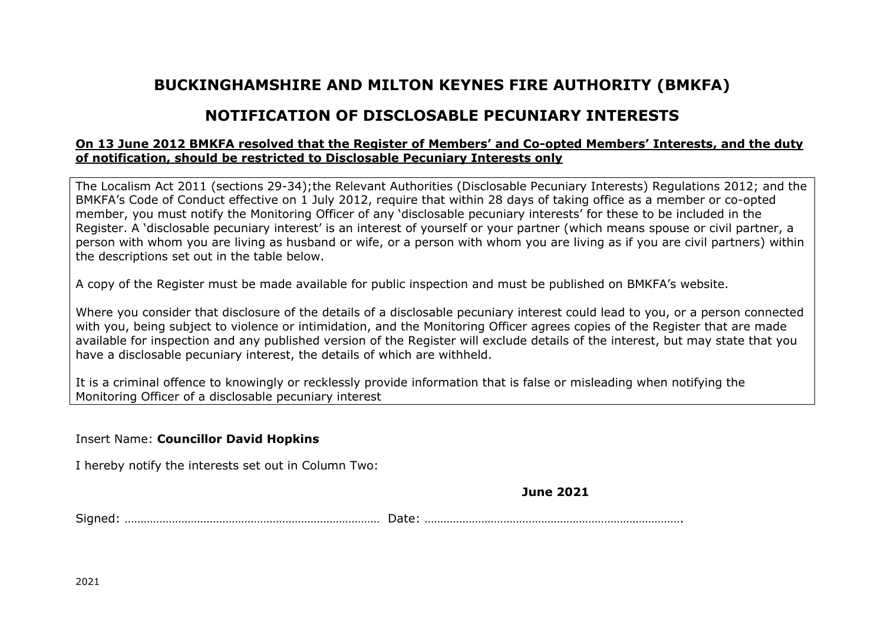## **BUCKINGHAMSHIRE AND MILTON KEYNES FIRE AUTHORITY (BMKFA)**

## **NOTIFICATION OF DISCLOSABLE PECUNIARY INTERESTS**

## **On 13 June 2012 BMKFA resolved that the Register of Members' and Co-opted Members' Interests, and the duty of notification, should be restricted to Disclosable Pecuniary Interests only**

The Localism Act 2011 (sections 29-34);the Relevant Authorities (Disclosable Pecuniary Interests) Regulations 2012; and the BMKFA's Code of Conduct effective on 1 July 2012, require that within 28 days of taking office as a member or co-opted member, you must notify the Monitoring Officer of any 'disclosable pecuniary interests' for these to be included in the Register. A 'disclosable pecuniary interest' is an interest of yourself or your partner (which means spouse or civil partner, a person with whom you are living as husband or wife, or a person with whom you are living as if you are civil partners) within the descriptions set out in the table below.

A copy of the Register must be made available for public inspection and must be published on BMKFA's website.

Where you consider that disclosure of the details of a disclosable pecuniary interest could lead to you, or a person connected with you, being subject to violence or intimidation, and the Monitoring Officer agrees copies of the Register that are made available for inspection and any published version of the Register will exclude details of the interest, but may state that you have a disclosable pecuniary interest, the details of which are withheld.

It is a criminal offence to knowingly or recklessly provide information that is false or misleading when notifying the Monitoring Officer of a disclosable pecuniary interest

Insert Name: **Councillor David Hopkins** 

I hereby notify the interests set out in Column Two:

**June 2021**

Signed: ……………………………………………………………………… Date: ……………………………………………………………………….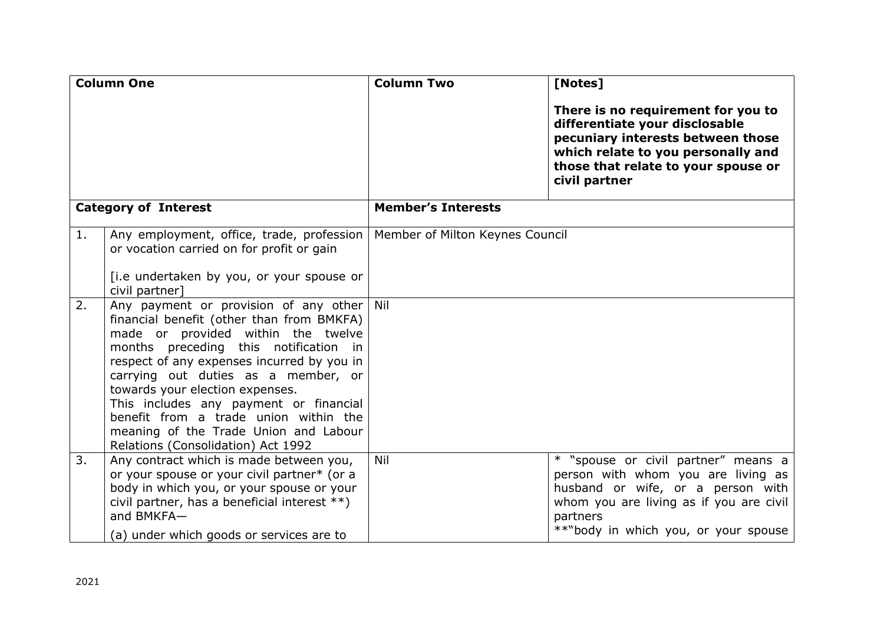| <b>Column One</b>           |                                                                                                                                                                                                                                                                                                                                                                                                                                                                 | <b>Column Two</b>               | [Notes]                                                                                                                                                                                                       |
|-----------------------------|-----------------------------------------------------------------------------------------------------------------------------------------------------------------------------------------------------------------------------------------------------------------------------------------------------------------------------------------------------------------------------------------------------------------------------------------------------------------|---------------------------------|---------------------------------------------------------------------------------------------------------------------------------------------------------------------------------------------------------------|
|                             |                                                                                                                                                                                                                                                                                                                                                                                                                                                                 |                                 | There is no requirement for you to<br>differentiate your disclosable<br>pecuniary interests between those<br>which relate to you personally and<br>those that relate to your spouse or<br>civil partner       |
| <b>Category of Interest</b> |                                                                                                                                                                                                                                                                                                                                                                                                                                                                 | <b>Member's Interests</b>       |                                                                                                                                                                                                               |
| 1.                          | Any employment, office, trade, profession<br>or vocation carried on for profit or gain<br>[i.e undertaken by you, or your spouse or<br>civil partner]                                                                                                                                                                                                                                                                                                           | Member of Milton Keynes Council |                                                                                                                                                                                                               |
| 2.                          | Any payment or provision of any other Nil<br>financial benefit (other than from BMKFA)<br>made or provided within the twelve<br>months preceding this notification in<br>respect of any expenses incurred by you in<br>carrying out duties as a member, or<br>towards your election expenses.<br>This includes any payment or financial<br>benefit from a trade union within the<br>meaning of the Trade Union and Labour<br>Relations (Consolidation) Act 1992 |                                 |                                                                                                                                                                                                               |
| 3.                          | Any contract which is made between you,<br>or your spouse or your civil partner* (or a<br>body in which you, or your spouse or your<br>civil partner, has a beneficial interest **)<br>and BMKFA-<br>(a) under which goods or services are to                                                                                                                                                                                                                   | Nil                             | * "spouse or civil partner" means a<br>person with whom you are living as<br>husband or wife, or a person with<br>whom you are living as if you are civil<br>partners<br>**"body in which you, or your spouse |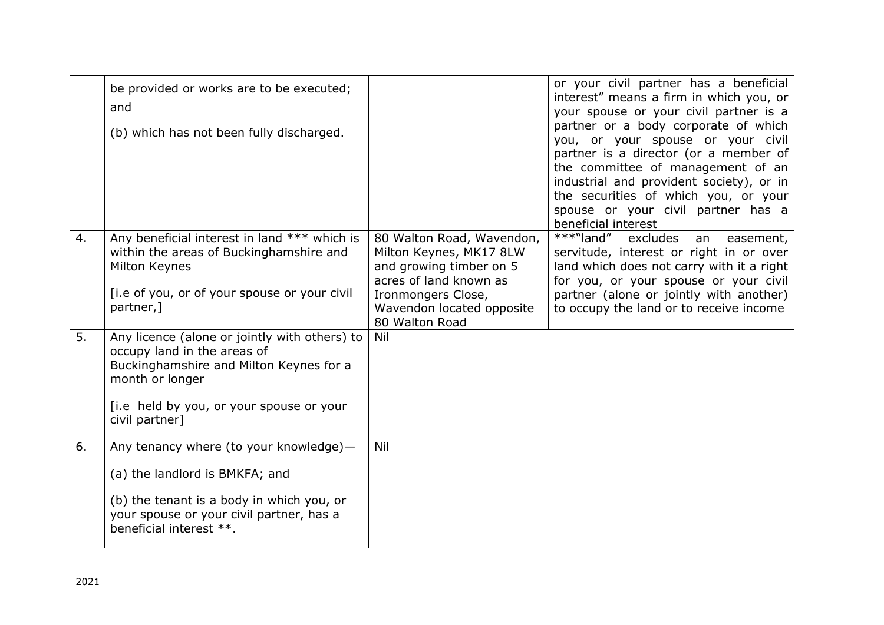|    | be provided or works are to be executed;<br>and<br>(b) which has not been fully discharged.                                                                                                              |                                                                                                                                                                                | or your civil partner has a beneficial<br>interest" means a firm in which you, or<br>your spouse or your civil partner is a<br>partner or a body corporate of which<br>you, or your spouse or your civil<br>partner is a director (or a member of<br>the committee of management of an<br>industrial and provident society), or in<br>the securities of which you, or your<br>spouse or your civil partner has a<br>beneficial interest |
|----|----------------------------------------------------------------------------------------------------------------------------------------------------------------------------------------------------------|--------------------------------------------------------------------------------------------------------------------------------------------------------------------------------|-----------------------------------------------------------------------------------------------------------------------------------------------------------------------------------------------------------------------------------------------------------------------------------------------------------------------------------------------------------------------------------------------------------------------------------------|
| 4. | Any beneficial interest in land *** which is<br>within the areas of Buckinghamshire and<br>Milton Keynes<br>[i.e of you, or of your spouse or your civil<br>partner,]                                    | 80 Walton Road, Wavendon,<br>Milton Keynes, MK17 8LW<br>and growing timber on 5<br>acres of land known as<br>Ironmongers Close,<br>Wavendon located opposite<br>80 Walton Road | ***"land"<br>excludes<br>an<br>easement,<br>servitude, interest or right in or over<br>land which does not carry with it a right<br>for you, or your spouse or your civil<br>partner (alone or jointly with another)<br>to occupy the land or to receive income                                                                                                                                                                         |
| 5. | Any licence (alone or jointly with others) to<br>occupy land in the areas of<br>Buckinghamshire and Milton Keynes for a<br>month or longer<br>[i.e held by you, or your spouse or your<br>civil partner] | Nil                                                                                                                                                                            |                                                                                                                                                                                                                                                                                                                                                                                                                                         |
| 6. | Any tenancy where (to your knowledge)-<br>(a) the landlord is BMKFA; and<br>(b) the tenant is a body in which you, or<br>your spouse or your civil partner, has a<br>beneficial interest **.             | Nil                                                                                                                                                                            |                                                                                                                                                                                                                                                                                                                                                                                                                                         |